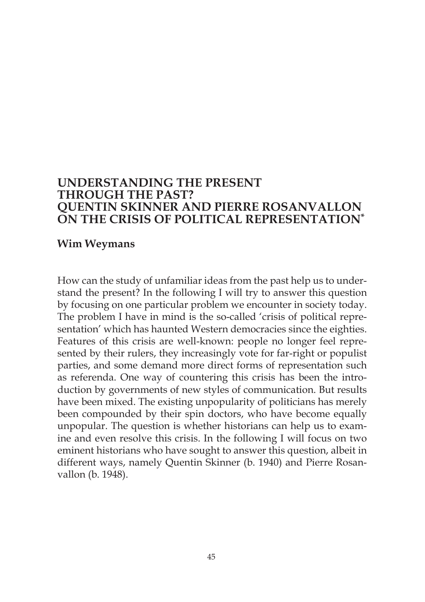# **UNDERSTANDING THE PRESENT THROUGH THE PAST? QUENTIN SKINNER AND PIERRE ROSANVALLON ON THE CRISIS OF POLITICAL REPRESENTATION\***

### **Wim Weymans**

How can the study of unfamiliar ideas from the past help us to understand the present? In the following I will try to answer this question by focusing on one particular problem we encounter in society today. The problem I have in mind is the so-called 'crisis of political representation' which has haunted Western democracies since the eighties. Features of this crisis are well-known: people no longer feel represented by their rulers, they increasingly vote for far-right or populist parties, and some demand more direct forms of representation such as referenda. One way of countering this crisis has been the introduction by governments of new styles of communication. But results have been mixed. The existing unpopularity of politicians has merely been compounded by their spin doctors, who have become equally unpopular. The question is whether historians can help us to examine and even resolve this crisis. In the following I will focus on two eminent historians who have sought to answer this question, albeit in different ways, namely Quentin Skinner (b. 1940) and Pierre Rosanvallon (b. 1948).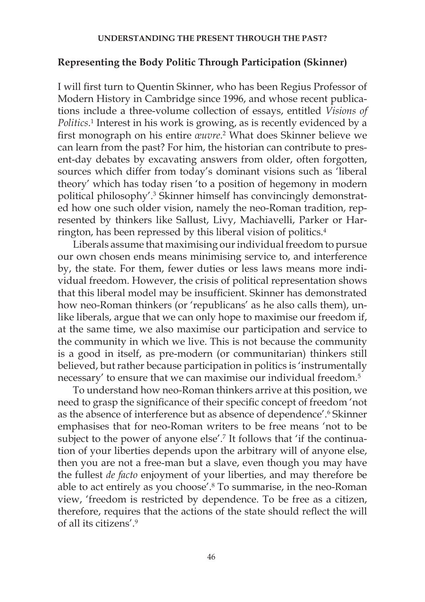## **Representing the Body Politic Through Participation (Skinner)**

I will first turn to Quentin Skinner, who has been Regius Professor of Modern History in Cambridge since 1996, and whose recent publications include a three-volume collection of essays, entitled *Visions of Politics*. 1 Interest in his work is growing, as is recently evidenced by a first monograph on his entire *œuvre*. 2 What does Skinner believe we can learn from the past? For him, the historian can contribute to present-day debates by excavating answers from older, often forgotten, sources which differ from today's dominant visions such as 'liberal theory' which has today risen 'to a position of hegemony in modern political philosophy'.3 Skinner himself has convincingly demonstrated how one such older vision, namely the neo-Roman tradition, represented by thinkers like Sallust, Livy, Machiavelli, Parker or Harrington, has been repressed by this liberal vision of politics.4

Liberals assume that maximising our individual freedom to pursue our own chosen ends means minimising service to, and interference by, the state. For them, fewer duties or less laws means more individual freedom. However, the crisis of political representation shows that this liberal model may be insufficient. Skinner has demonstrated how neo-Roman thinkers (or 'republicans' as he also calls them), unlike liberals, argue that we can only hope to maximise our freedom if, at the same time, we also maximise our participation and service to the community in which we live. This is not because the community is a good in itself, as pre-modern (or communitarian) thinkers still believed, but rather because participation in politics is 'instrumentally necessary' to ensure that we can maximise our individual freedom.<sup>5</sup>

To understand how neo-Roman thinkers arrive at this position, we need to grasp the significance of their specific concept of freedom 'not as the absence of interference but as absence of dependence'.<sup>6</sup> Skinner emphasises that for neo-Roman writers to be free means 'not to be subject to the power of anyone else'.<sup>7</sup> It follows that 'if the continuation of your liberties depends upon the arbitrary will of anyone else, then you are not a free-man but a slave, even though you may have the fullest *de facto* enjoyment of your liberties, and may therefore be able to act entirely as you choose'.8 To summarise, in the neo-Roman view, 'freedom is restricted by dependence. To be free as a citizen, therefore, requires that the actions of the state should reflect the will of all its citizens<sup>' 9</sup>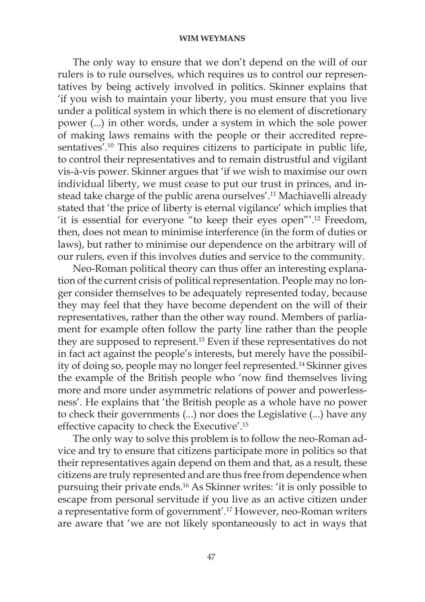The only way to ensure that we don't depend on the will of our rulers is to rule ourselves, which requires us to control our representatives by being actively involved in politics. Skinner explains that 'if you wish to maintain your liberty, you must ensure that you live under a political system in which there is no element of discretionary power (...) in other words, under a system in which the sole power of making laws remains with the people or their accredited representatives'.<sup>10</sup> This also requires citizens to participate in public life, to control their representatives and to remain distrustful and vigilant vis-à-vis power. Skinner argues that 'if we wish to maximise our own individual liberty, we must cease to put our trust in princes, and instead take charge of the public arena ourselves'.11 Machiavelli already stated that 'the price of liberty is eternal vigilance' which implies that 'it is essential for everyone "to keep their eyes open"'.12 Freedom, then, does not mean to minimise interference (in the form of duties or laws), but rather to minimise our dependence on the arbitrary will of our rulers, even if this involves duties and service to the community.

Neo-Roman political theory can thus offer an interesting explanation of the current crisis of political representation. People may no longer consider themselves to be adequately represented today, because they may feel that they have become dependent on the will of their representatives, rather than the other way round. Members of parliament for example often follow the party line rather than the people they are supposed to represent.13 Even if these representatives do not in fact act against the people's interests, but merely have the possibility of doing so, people may no longer feel represented.14 Skinner gives the example of the British people who 'now find themselves living more and more under asymmetric relations of power and powerlessness'. He explains that 'the British people as a whole have no power to check their governments (...) nor does the Legislative (...) have any effective capacity to check the Executive'.15

The only way to solve this problem is to follow the neo-Roman advice and try to ensure that citizens participate more in politics so that their representatives again depend on them and that, as a result, these citizens are truly represented and are thus free from dependence when pursuing their private ends.16 As Skinner writes: 'it is only possible to escape from personal servitude if you live as an active citizen under a representative form of government'.17 However, neo-Roman writers are aware that 'we are not likely spontaneously to act in ways that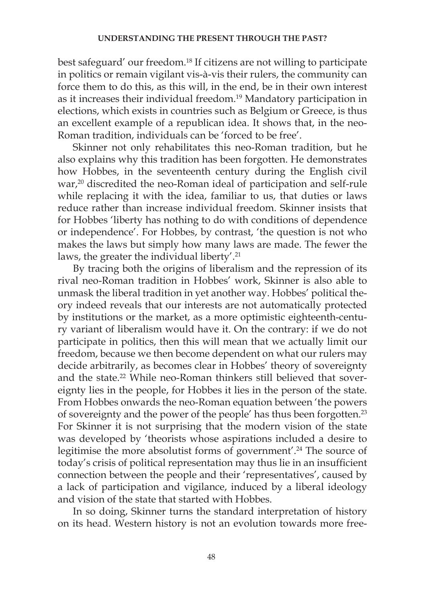best safeguard' our freedom.18 If citizens are not willing to participate in politics or remain vigilant vis-à-vis their rulers, the community can force them to do this, as this will, in the end, be in their own interest as it increases their individual freedom.19 Mandatory participation in elections, which exists in countries such as Belgium or Greece, is thus an excellent example of a republican idea. It shows that, in the neo-Roman tradition, individuals can be 'forced to be free'.

Skinner not only rehabilitates this neo-Roman tradition, but he also explains why this tradition has been forgotten. He demonstrates how Hobbes, in the seventeenth century during the English civil war,<sup>20</sup> discredited the neo-Roman ideal of participation and self-rule while replacing it with the idea, familiar to us, that duties or laws reduce rather than increase individual freedom. Skinner insists that for Hobbes 'liberty has nothing to do with conditions of dependence or independence'. For Hobbes, by contrast, 'the question is not who makes the laws but simply how many laws are made. The fewer the laws, the greater the individual liberty'.21

By tracing both the origins of liberalism and the repression of its rival neo-Roman tradition in Hobbes' work, Skinner is also able to unmask the liberal tradition in yet another way. Hobbes' political theory indeed reveals that our interests are not automatically protected by institutions or the market, as a more optimistic eighteenth-century variant of liberalism would have it. On the contrary: if we do not participate in politics, then this will mean that we actually limit our freedom, because we then become dependent on what our rulers may decide arbitrarily, as becomes clear in Hobbes' theory of sovereignty and the state.<sup>22</sup> While neo-Roman thinkers still believed that sovereignty lies in the people, for Hobbes it lies in the person of the state. From Hobbes onwards the neo-Roman equation between 'the powers of sovereignty and the power of the people' has thus been forgotten.23 For Skinner it is not surprising that the modern vision of the state was developed by 'theorists whose aspirations included a desire to legitimise the more absolutist forms of government'.<sup>24</sup> The source of today's crisis of political representation may thus lie in an insufficient connection between the people and their 'representatives', caused by a lack of participation and vigilance, induced by a liberal ideology and vision of the state that started with Hobbes.

In so doing, Skinner turns the standard interpretation of history on its head. Western history is not an evolution towards more free-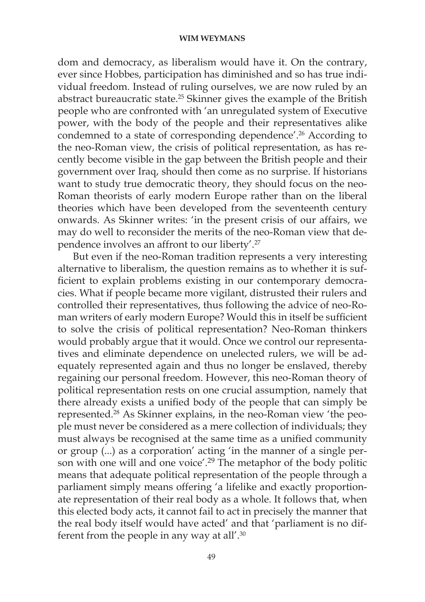dom and democracy, as liberalism would have it. On the contrary, ever since Hobbes, participation has diminished and so has true individual freedom. Instead of ruling ourselves, we are now ruled by an abstract bureaucratic state.25 Skinner gives the example of the British people who are confronted with 'an unregulated system of Executive power, with the body of the people and their representatives alike condemned to a state of corresponding dependence'.26 According to the neo-Roman view, the crisis of political representation, as has recently become visible in the gap between the British people and their government over Iraq, should then come as no surprise. If historians want to study true democratic theory, they should focus on the neo-Roman theorists of early modern Europe rather than on the liberal theories which have been developed from the seventeenth century onwards. As Skinner writes: 'in the present crisis of our affairs, we may do well to reconsider the merits of the neo-Roman view that dependence involves an affront to our liberty'.27

But even if the neo-Roman tradition represents a very interesting alternative to liberalism, the question remains as to whether it is sufficient to explain problems existing in our contemporary democracies. What if people became more vigilant, distrusted their rulers and controlled their representatives, thus following the advice of neo-Roman writers of early modern Europe? Would this in itself be sufficient to solve the crisis of political representation? Neo-Roman thinkers would probably argue that it would. Once we control our representatives and eliminate dependence on unelected rulers, we will be adequately represented again and thus no longer be enslaved, thereby regaining our personal freedom. However, this neo-Roman theory of political representation rests on one crucial assumption, namely that there already exists a unified body of the people that can simply be represented.28 As Skinner explains, in the neo-Roman view 'the people must never be considered as a mere collection of individuals; they must always be recognised at the same time as a unified community or group (...) as a corporation' acting 'in the manner of a single person with one will and one voice'.29 The metaphor of the body politic means that adequate political representation of the people through a parliament simply means offering 'a lifelike and exactly proportionate representation of their real body as a whole. It follows that, when this elected body acts, it cannot fail to act in precisely the manner that the real body itself would have acted' and that 'parliament is no different from the people in any way at all'.30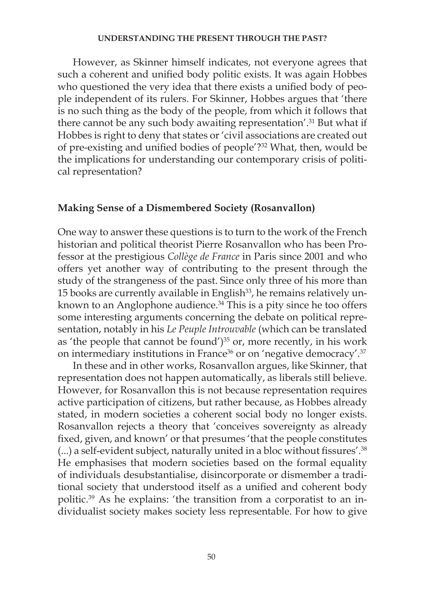However, as Skinner himself indicates, not everyone agrees that such a coherent and unified body politic exists. It was again Hobbes who questioned the very idea that there exists a unified body of people independent of its rulers. For Skinner, Hobbes argues that 'there is no such thing as the body of the people, from which it follows that there cannot be any such body awaiting representation'.<sup>31</sup> But what if Hobbes is right to deny that states or 'civil associations are created out of pre-existing and unified bodies of people'?32 What, then, would be the implications for understanding our contemporary crisis of political representation?

## **Making Sense of a Dismembered Society (Rosanvallon)**

One way to answer these questions is to turn to the work of the French historian and political theorist Pierre Rosanvallon who has been Professor at the prestigious *Collège de France* in Paris since 2001 and who offers yet another way of contributing to the present through the study of the strangeness of the past. Since only three of his more than 15 books are currently available in English<sup>33</sup>, he remains relatively unknown to an Anglophone audience.<sup>34</sup> This is a pity since he too offers some interesting arguments concerning the debate on political representation, notably in his *Le Peuple Introuvable* (which can be translated as 'the people that cannot be found' $35$  or, more recently, in his work on intermediary institutions in France<sup>36</sup> or on 'negative democracy'.<sup>37</sup>

In these and in other works, Rosanvallon argues, like Skinner, that representation does not happen automatically, as liberals still believe. However, for Rosanvallon this is not because representation requires active participation of citizens, but rather because, as Hobbes already stated, in modern societies a coherent social body no longer exists. Rosanvallon rejects a theory that 'conceives sovereignty as already fixed, given, and known' or that presumes 'that the people constitutes (...) a self-evident subject, naturally united in a bloc without fissures'.<sup>38</sup> He emphasises that modern societies based on the formal equality of individuals desubstantialise, disincorporate or dismember a traditional society that understood itself as a unified and coherent body politic.39 As he explains: 'the transition from a corporatist to an individualist society makes society less representable. For how to give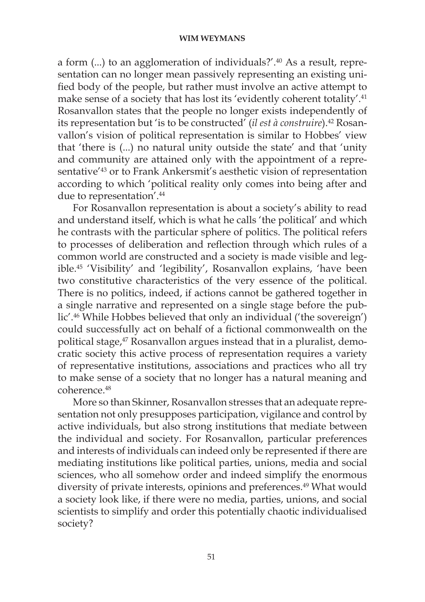a form (...) to an agglomeration of individuals?'.<sup>40</sup> As a result, representation can no longer mean passively representing an existing unified body of the people, but rather must involve an active attempt to make sense of a society that has lost its 'evidently coherent totality'.<sup>41</sup> Rosanvallon states that the people no longer exists independently of its representation but 'is to be constructed' (*il est à construire*).42 Rosanvallon's vision of political representation is similar to Hobbes' view that 'there is (...) no natural unity outside the state' and that 'unity and community are attained only with the appointment of a representative'43 or to Frank Ankersmit's aesthetic vision of representation according to which 'political reality only comes into being after and due to representation'.44

For Rosanvallon representation is about a society's ability to read and understand itself, which is what he calls 'the political' and which he contrasts with the particular sphere of politics. The political refers to processes of deliberation and reflection through which rules of a common world are constructed and a society is made visible and legible.45 'Visibility' and 'legibility', Rosanvallon explains, 'have been two constitutive characteristics of the very essence of the political. There is no politics, indeed, if actions cannot be gathered together in a single narrative and represented on a single stage before the public'.46 While Hobbes believed that only an individual ('the sovereign') could successfully act on behalf of a fictional commonwealth on the political stage,<sup>47</sup> Rosanvallon argues instead that in a pluralist, democratic society this active process of representation requires a variety of representative institutions, associations and practices who all try to make sense of a society that no longer has a natural meaning and coherence.48

More so than Skinner, Rosanvallon stresses that an adequate representation not only presupposes participation, vigilance and control by active individuals, but also strong institutions that mediate between the individual and society. For Rosanvallon, particular preferences and interests of individuals can indeed only be represented if there are mediating institutions like political parties, unions, media and social sciences, who all somehow order and indeed simplify the enormous diversity of private interests, opinions and preferences.<sup>49</sup> What would a society look like, if there were no media, parties, unions, and social scientists to simplify and order this potentially chaotic individualised society?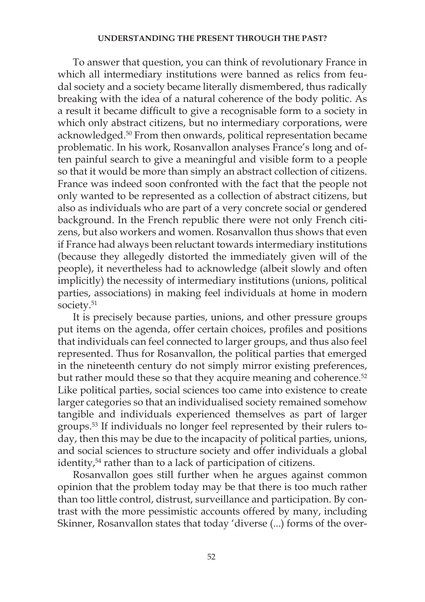To answer that question, you can think of revolutionary France in which all intermediary institutions were banned as relics from feudal society and a society became literally dismembered, thus radically breaking with the idea of a natural coherence of the body politic. As a result it became difficult to give a recognisable form to a society in which only abstract citizens, but no intermediary corporations, were acknowledged.50 From then onwards, political representation became problematic. In his work, Rosanvallon analyses France's long and often painful search to give a meaningful and visible form to a people so that it would be more than simply an abstract collection of citizens. France was indeed soon confronted with the fact that the people not only wanted to be represented as a collection of abstract citizens, but also as individuals who are part of a very concrete social or gendered background. In the French republic there were not only French citizens, but also workers and women. Rosanvallon thus shows that even if France had always been reluctant towards intermediary institutions (because they allegedly distorted the immediately given will of the people), it nevertheless had to acknowledge (albeit slowly and often implicitly) the necessity of intermediary institutions (unions, political parties, associations) in making feel individuals at home in modern society.<sup>51</sup>

It is precisely because parties, unions, and other pressure groups put items on the agenda, offer certain choices, profiles and positions that individuals can feel connected to larger groups, and thus also feel represented. Thus for Rosanvallon, the political parties that emerged in the nineteenth century do not simply mirror existing preferences, but rather mould these so that they acquire meaning and coherence.<sup>52</sup> Like political parties, social sciences too came into existence to create larger categories so that an individualised society remained somehow tangible and individuals experienced themselves as part of larger groups.53 If individuals no longer feel represented by their rulers today, then this may be due to the incapacity of political parties, unions, and social sciences to structure society and offer individuals a global identity,<sup>54</sup> rather than to a lack of participation of citizens.

Rosanvallon goes still further when he argues against common opinion that the problem today may be that there is too much rather than too little control, distrust, surveillance and participation. By contrast with the more pessimistic accounts offered by many, including Skinner, Rosanvallon states that today 'diverse (...) forms of the over-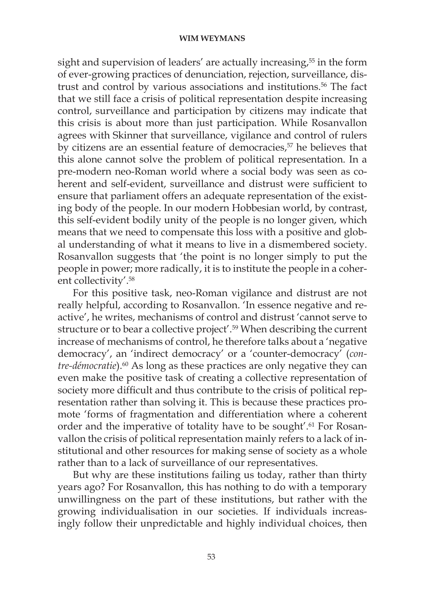sight and supervision of leaders' are actually increasing,<sup>55</sup> in the form of ever-growing practices of denunciation, rejection, surveillance, distrust and control by various associations and institutions.56 The fact that we still face a crisis of political representation despite increasing control, surveillance and participation by citizens may indicate that this crisis is about more than just participation. While Rosanvallon agrees with Skinner that surveillance, vigilance and control of rulers by citizens are an essential feature of democracies,<sup>57</sup> he believes that this alone cannot solve the problem of political representation. In a pre-modern neo-Roman world where a social body was seen as coherent and self-evident, surveillance and distrust were sufficient to ensure that parliament offers an adequate representation of the existing body of the people. In our modern Hobbesian world, by contrast, this self-evident bodily unity of the people is no longer given, which means that we need to compensate this loss with a positive and global understanding of what it means to live in a dismembered society. Rosanvallon suggests that 'the point is no longer simply to put the people in power; more radically, it is to institute the people in a coherent collectivity'.58

For this positive task, neo-Roman vigilance and distrust are not really helpful, according to Rosanvallon. 'In essence negative and reactive', he writes, mechanisms of control and distrust 'cannot serve to structure or to bear a collective project'.59 When describing the current increase of mechanisms of control, he therefore talks about a 'negative democracy', an 'indirect democracy' or a 'counter-democracy' (*contre-démocratie*).<sup>60</sup> As long as these practices are only negative they can even make the positive task of creating a collective representation of society more difficult and thus contribute to the crisis of political representation rather than solving it. This is because these practices promote 'forms of fragmentation and differentiation where a coherent order and the imperative of totality have to be sought'.<sup>61</sup> For Rosanvallon the crisis of political representation mainly refers to a lack of institutional and other resources for making sense of society as a whole rather than to a lack of surveillance of our representatives.

But why are these institutions failing us today, rather than thirty years ago? For Rosanvallon, this has nothing to do with a temporary unwillingness on the part of these institutions, but rather with the growing individualisation in our societies. If individuals increasingly follow their unpredictable and highly individual choices, then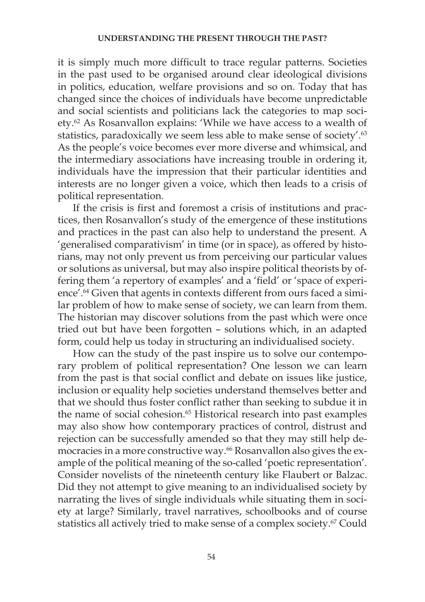it is simply much more difficult to trace regular patterns. Societies in the past used to be organised around clear ideological divisions in politics, education, welfare provisions and so on. Today that has changed since the choices of individuals have become unpredictable and social scientists and politicians lack the categories to map society.62 As Rosanvallon explains: 'While we have access to a wealth of statistics, paradoxically we seem less able to make sense of society'.63 As the people's voice becomes ever more diverse and whimsical, and the intermediary associations have increasing trouble in ordering it, individuals have the impression that their particular identities and interests are no longer given a voice, which then leads to a crisis of political representation.

If the crisis is first and foremost a crisis of institutions and practices, then Rosanvallon's study of the emergence of these institutions and practices in the past can also help to understand the present. A 'generalised comparativism' in time (or in space), as offered by historians, may not only prevent us from perceiving our particular values or solutions as universal, but may also inspire political theorists by offering them 'a repertory of examples' and a 'field' or 'space of experience'.<sup>64</sup> Given that agents in contexts different from ours faced a similar problem of how to make sense of society, we can learn from them. The historian may discover solutions from the past which were once tried out but have been forgotten – solutions which, in an adapted form, could help us today in structuring an individualised society.

How can the study of the past inspire us to solve our contemporary problem of political representation? One lesson we can learn from the past is that social conflict and debate on issues like justice, inclusion or equality help societies understand themselves better and that we should thus foster conflict rather than seeking to subdue it in the name of social cohesion.<sup>65</sup> Historical research into past examples may also show how contemporary practices of control, distrust and rejection can be successfully amended so that they may still help democracies in a more constructive way.66 Rosanvallon also gives the example of the political meaning of the so-called 'poetic representation'. Consider novelists of the nineteenth century like Flaubert or Balzac. Did they not attempt to give meaning to an individualised society by narrating the lives of single individuals while situating them in society at large? Similarly, travel narratives, schoolbooks and of course statistics all actively tried to make sense of a complex society.67 Could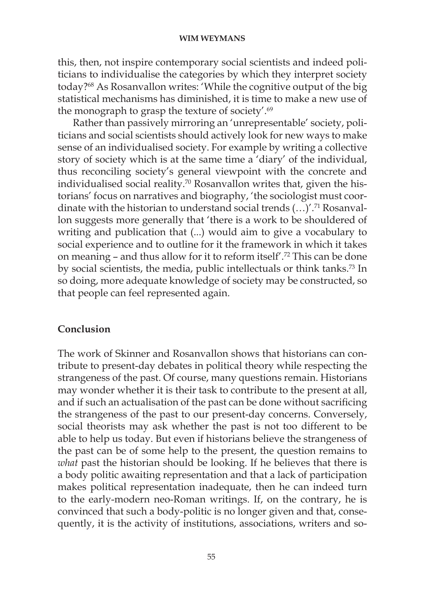this, then, not inspire contemporary social scientists and indeed politicians to individualise the categories by which they interpret society today?68 As Rosanvallon writes: 'While the cognitive output of the big statistical mechanisms has diminished, it is time to make a new use of the monograph to grasp the texture of society'.69

Rather than passively mirroring an 'unrepresentable' society, politicians and social scientists should actively look for new ways to make sense of an individualised society. For example by writing a collective story of society which is at the same time a 'diary' of the individual, thus reconciling society's general viewpoint with the concrete and individualised social reality.<sup>70</sup> Rosanvallon writes that, given the historians' focus on narratives and biography, 'the sociologist must coordinate with the historian to understand social trends (…)'.71 Rosanvallon suggests more generally that 'there is a work to be shouldered of writing and publication that (...) would aim to give a vocabulary to social experience and to outline for it the framework in which it takes on meaning – and thus allow for it to reform itself'.72 This can be done by social scientists, the media, public intellectuals or think tanks.73 In so doing, more adequate knowledge of society may be constructed, so that people can feel represented again.

## **Conclusion**

The work of Skinner and Rosanvallon shows that historians can contribute to present-day debates in political theory while respecting the strangeness of the past. Of course, many questions remain. Historians may wonder whether it is their task to contribute to the present at all, and if such an actualisation of the past can be done without sacrificing the strangeness of the past to our present-day concerns. Conversely, social theorists may ask whether the past is not too different to be able to help us today. But even if historians believe the strangeness of the past can be of some help to the present, the question remains to *what* past the historian should be looking. If he believes that there is a body politic awaiting representation and that a lack of participation makes political representation inadequate, then he can indeed turn to the early-modern neo-Roman writings. If, on the contrary, he is convinced that such a body-politic is no longer given and that, consequently, it is the activity of institutions, associations, writers and so-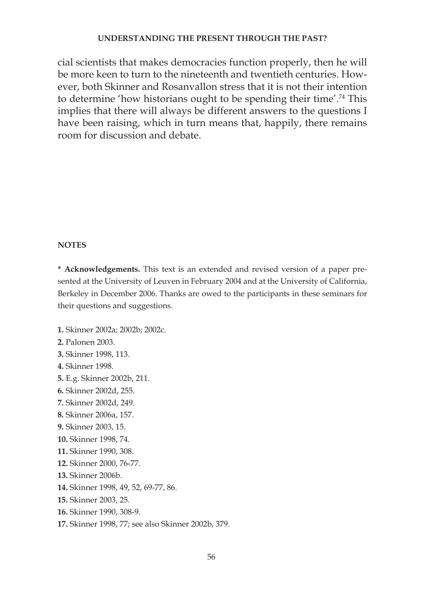cial scientists that makes democracies function properly, then he will be more keen to turn to the nineteenth and twentieth centuries. However, both Skinner and Rosanvallon stress that it is not their intention to determine 'how historians ought to be spending their time'.74 This implies that there will always be different answers to the questions I have been raising, which in turn means that, happily, there remains room for discussion and debate.

#### **NOTES**

**\* Acknowledgements.** This text is an extended and revised version of a paper presented at the University of Leuven in February 2004 and at the University of California, Berkeley in December 2006. Thanks are owed to the participants in these seminars for their questions and suggestions.

- **1.** Skinner 2002a; 2002b; 2002c.
- **2.** Palonen 2003.
- **3.** Skinner 1998, 113.
- **4.** Skinner 1998.
- **5.** E.g. Skinner 2002b, 211.
- **6.** Skinner 2002d, 255.
- **7.** Skinner 2002d, 249.
- **8.** Skinner 2006a, 157.
- **9.** Skinner 2003, 15.
- **10.** Skinner 1998, 74.
- **11.** Skinner 1990, 308.
- **12.** Skinner 2000, 76-77.
- **13.** Skinner 2006b.
- **14.** Skinner 1998, 49, 52, 69-77, 86.
- **15.** Skinner 2003, 25.
- **16.** Skinner 1990, 308-9.
- **17.** Skinner 1998, 77; see also Skinner 2002b, 379.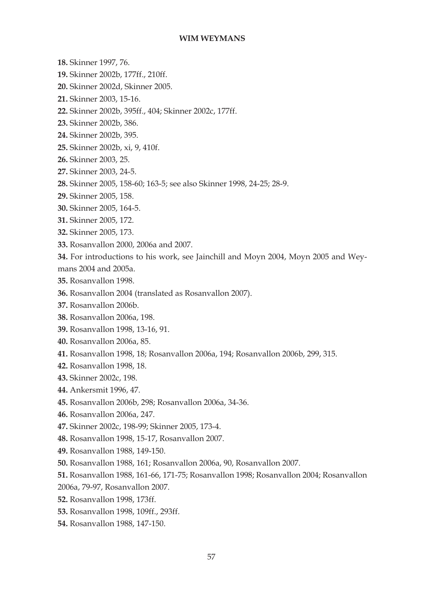- **18.** Skinner 1997, 76.
- **19.** Skinner 2002b, 177ff., 210ff.
- **20.** Skinner 2002d, Skinner 2005.
- **21.** Skinner 2003, 15-16.
- **22.** Skinner 2002b, 395ff., 404; Skinner 2002c, 177ff.
- **23.** Skinner 2002b, 386.
- **24.** Skinner 2002b, 395.
- **25.** Skinner 2002b, xi, 9, 410f.
- **26.** Skinner 2003, 25.
- **27.** Skinner 2003, 24-5.
- **28.** Skinner 2005, 158-60; 163-5; see also Skinner 1998, 24-25; 28-9.
- **29.** Skinner 2005, 158.
- **30.** Skinner 2005, 164-5.
- **31.** Skinner 2005, 172.
- **32.** Skinner 2005, 173.
- **33.** Rosanvallon 2000, 2006a and 2007.
- **34.** For introductions to his work, see Jainchill and Moyn 2004, Moyn 2005 and Weymans 2004 and 2005a.
- **35.** Rosanvallon 1998.
- **36.** Rosanvallon 2004 (translated as Rosanvallon 2007).
- **37.** Rosanvallon 2006b.
- **38.** Rosanvallon 2006a, 198.
- **39.** Rosanvallon 1998, 13-16, 91.
- **40.** Rosanvallon 2006a, 85.
- **41.** Rosanvallon 1998, 18; Rosanvallon 2006a, 194; Rosanvallon 2006b, 299, 315.
- **42.** Rosanvallon 1998, 18.
- **43.** Skinner 2002c, 198.
- **44.** Ankersmit 1996, 47.
- **45.** Rosanvallon 2006b, 298; Rosanvallon 2006a, 34-36.
- **46.** Rosanvallon 2006a, 247.
- **47.** Skinner 2002c, 198-99; Skinner 2005, 173-4.
- **48.** Rosanvallon 1998, 15-17, Rosanvallon 2007.
- **49.** Rosanvallon 1988, 149-150.
- **50.** Rosanvallon 1988, 161; Rosanvallon 2006a, 90, Rosanvallon 2007.
- **51.** Rosanvallon 1988, 161-66, 171-75; Rosanvallon 1998; Rosanvallon 2004; Rosanvallon
- 2006a, 79-97, Rosanvallon 2007.
- **52.** Rosanvallon 1998, 173ff.
- **53.** Rosanvallon 1998, 109ff., 293ff.
- **54.** Rosanvallon 1988, 147-150.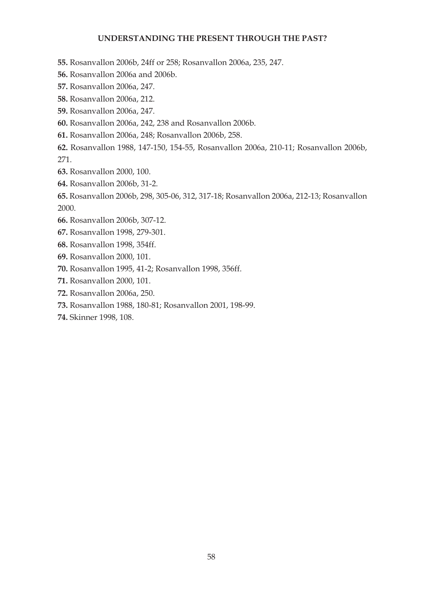- **55.** Rosanvallon 2006b, 24ff or 258; Rosanvallon 2006a, 235, 247.
- **56.** Rosanvallon 2006a and 2006b.
- **57.** Rosanvallon 2006a, 247.
- **58.** Rosanvallon 2006a, 212.
- **59.** Rosanvallon 2006a, 247.
- **60.** Rosanvallon 2006a, 242, 238 and Rosanvallon 2006b.
- **61.** Rosanvallon 2006a, 248; Rosanvallon 2006b, 258.
- **62.** Rosanvallon 1988, 147-150, 154-55, Rosanvallon 2006a, 210-11; Rosanvallon 2006b,

271.

- **63.** Rosanvallon 2000, 100.
- **64.** Rosanvallon 2006b, 31-2.
- **65.** Rosanvallon 2006b, 298, 305-06, 312, 317-18; Rosanvallon 2006a, 212-13; Rosanvallon 2000.
- **66.** Rosanvallon 2006b, 307-12.
- **67.** Rosanvallon 1998, 279-301.
- **68.** Rosanvallon 1998, 354ff.
- **69.** Rosanvallon 2000, 101.
- **70.** Rosanvallon 1995, 41-2; Rosanvallon 1998, 356ff.
- **71.** Rosanvallon 2000, 101.
- **72.** Rosanvallon 2006a, 250.
- **73.** Rosanvallon 1988, 180-81; Rosanvallon 2001, 198-99.
- **74.** Skinner 1998, 108.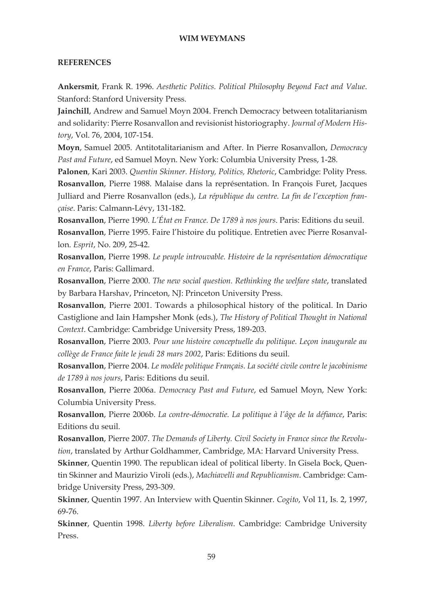#### **REFERENCES**

**Ankersmit**, Frank R. 1996. *Aesthetic Politics. Political Philosophy Beyond Fact and Value*. Stanford: Stanford University Press.

**Jainchill**, Andrew and Samuel Moyn 2004. French Democracy between totalitarianism and solidarity: Pierre Rosanvallon and revisionist historiography. *Journal of Modern History*, Vol. 76, 2004, 107-154.

**Moyn**, Samuel 2005. Antitotalitarianism and After. In Pierre Rosanvallon, *Democracy Past and Future*, ed Samuel Moyn. New York: Columbia University Press, 1-28.

**Palonen**, Kari 2003. *Quentin Skinner. History, Politics, Rhetoric*, Cambridge: Polity Press. **Rosanvallon**, Pierre 1988. Malaise dans la représentation. In François Furet, Jacques Julliard and Pierre Rosanvallon (eds.), *La république du centre. La fin de l'exception française*. Paris: Calmann-Lévy, 131-182.

**Rosanvallon**, Pierre 1990. *L'État en France. De 1789 à nos jours*. Paris: Editions du seuil. **Rosanvallon**, Pierre 1995. Faire l'histoire du politique. Entretien avec Pierre Rosanvallon. *Esprit*, No. 209, 25-42.

**Rosanvallon**, Pierre 1998. *Le peuple introuvable. Histoire de la représentation démocratique en France*, Paris: Gallimard.

**Rosanvallon**, Pierre 2000. *The new social question. Rethinking the welfare state*, translated by Barbara Harshav, Princeton, NJ: Princeton University Press.

**Rosanvallon**, Pierre 2001. Towards a philosophical history of the political. In Dario Castiglione and Iain Hampsher Monk (eds.), *The History of Political Thought in National Context*. Cambridge: Cambridge University Press, 189-203.

**Rosanvallon**, Pierre 2003. *Pour une histoire conceptuelle du politique. Leçon inaugurale au collège de France faite le jeudi 28 mars 2002*, Paris: Editions du seuil.

**Rosanvallon**, Pierre 2004. *Le modèle politique Français. La société civile contre le jacobinisme de 1789 à nos jours*, Paris: Editions du seuil.

**Rosanvallon**, Pierre 2006a. *Democracy Past and Future*, ed Samuel Moyn, New York: Columbia University Press.

**Rosanvallon**, Pierre 2006b. *La contre-démocratie. La politique à l'âge de la défiance*, Paris: Editions du seuil.

**Rosanvallon**, Pierre 2007. *The Demands of Liberty. Civil Society in France since the Revolution*, translated by Arthur Goldhammer, Cambridge, MA: Harvard University Press.

**Skinner**, Quentin 1990. The republican ideal of political liberty. In Gisela Bock, Quentin Skinner and Maurizio Viroli (eds.), *Machiavelli and Republicanism*. Cambridge: Cambridge University Press, 293-309.

**Skinner**, Quentin 1997. An Interview with Quentin Skinner. *Cogito*, Vol 11, Is. 2, 1997, 69-76.

**Skinner**, Quentin 1998. *Liberty before Liberalism*. Cambridge: Cambridge University Press.